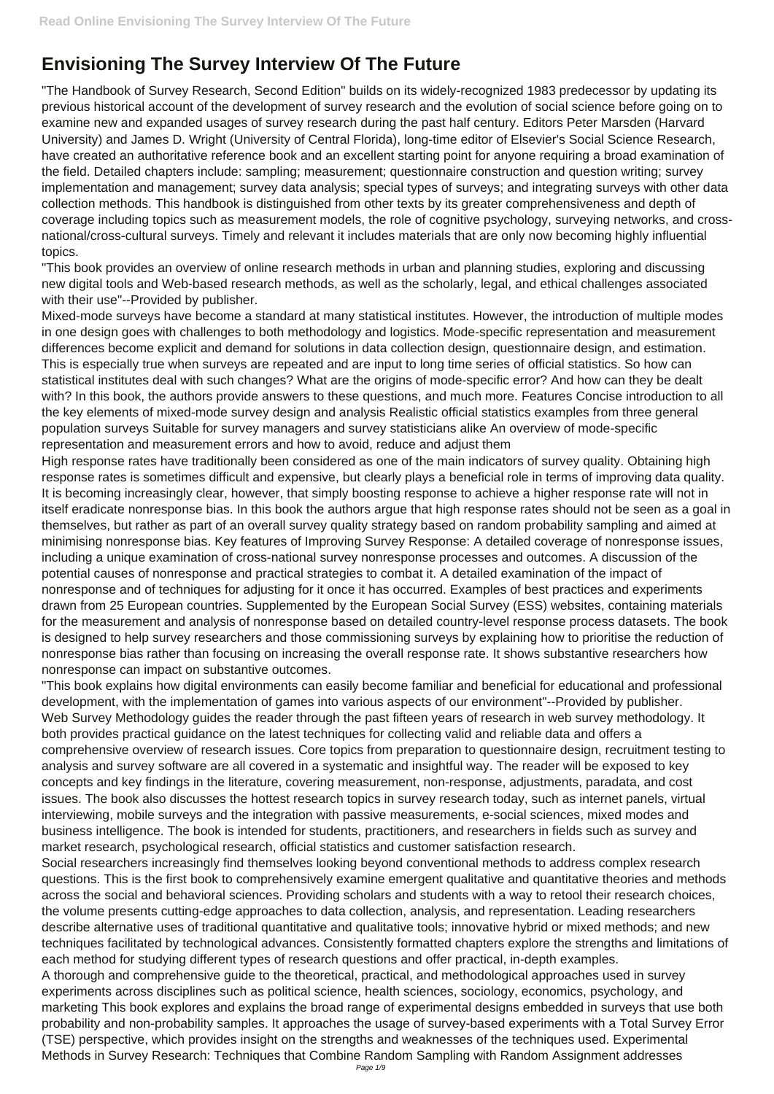# **Envisioning The Survey Interview Of The Future**

"The Handbook of Survey Research, Second Edition" builds on its widely-recognized 1983 predecessor by updating its previous historical account of the development of survey research and the evolution of social science before going on to examine new and expanded usages of survey research during the past half century. Editors Peter Marsden (Harvard University) and James D. Wright (University of Central Florida), long-time editor of Elsevier's Social Science Research, have created an authoritative reference book and an excellent starting point for anyone requiring a broad examination of the field. Detailed chapters include: sampling; measurement; questionnaire construction and question writing; survey implementation and management; survey data analysis; special types of surveys; and integrating surveys with other data collection methods. This handbook is distinguished from other texts by its greater comprehensiveness and depth of coverage including topics such as measurement models, the role of cognitive psychology, surveying networks, and crossnational/cross-cultural surveys. Timely and relevant it includes materials that are only now becoming highly influential topics.

"This book provides an overview of online research methods in urban and planning studies, exploring and discussing new digital tools and Web-based research methods, as well as the scholarly, legal, and ethical challenges associated with their use"--Provided by publisher.

Mixed-mode surveys have become a standard at many statistical institutes. However, the introduction of multiple modes in one design goes with challenges to both methodology and logistics. Mode-specific representation and measurement differences become explicit and demand for solutions in data collection design, questionnaire design, and estimation. This is especially true when surveys are repeated and are input to long time series of official statistics. So how can statistical institutes deal with such changes? What are the origins of mode-specific error? And how can they be dealt with? In this book, the authors provide answers to these questions, and much more. Features Concise introduction to all the key elements of mixed-mode survey design and analysis Realistic official statistics examples from three general population surveys Suitable for survey managers and survey statisticians alike An overview of mode-specific representation and measurement errors and how to avoid, reduce and adjust them

High response rates have traditionally been considered as one of the main indicators of survey quality. Obtaining high response rates is sometimes difficult and expensive, but clearly plays a beneficial role in terms of improving data quality. It is becoming increasingly clear, however, that simply boosting response to achieve a higher response rate will not in itself eradicate nonresponse bias. In this book the authors argue that high response rates should not be seen as a goal in themselves, but rather as part of an overall survey quality strategy based on random probability sampling and aimed at minimising nonresponse bias. Key features of Improving Survey Response: A detailed coverage of nonresponse issues, including a unique examination of cross-national survey nonresponse processes and outcomes. A discussion of the potential causes of nonresponse and practical strategies to combat it. A detailed examination of the impact of nonresponse and of techniques for adjusting for it once it has occurred. Examples of best practices and experiments drawn from 25 European countries. Supplemented by the European Social Survey (ESS) websites, containing materials for the measurement and analysis of nonresponse based on detailed country-level response process datasets. The book is designed to help survey researchers and those commissioning surveys by explaining how to prioritise the reduction of nonresponse bias rather than focusing on increasing the overall response rate. It shows substantive researchers how nonresponse can impact on substantive outcomes.

"This book explains how digital environments can easily become familiar and beneficial for educational and professional development, with the implementation of games into various aspects of our environment"--Provided by publisher. Web Survey Methodology guides the reader through the past fifteen years of research in web survey methodology. It both provides practical guidance on the latest techniques for collecting valid and reliable data and offers a comprehensive overview of research issues. Core topics from preparation to questionnaire design, recruitment testing to analysis and survey software are all covered in a systematic and insightful way. The reader will be exposed to key concepts and key findings in the literature, covering measurement, non-response, adjustments, paradata, and cost issues. The book also discusses the hottest research topics in survey research today, such as internet panels, virtual interviewing, mobile surveys and the integration with passive measurements, e-social sciences, mixed modes and business intelligence. The book is intended for students, practitioners, and researchers in fields such as survey and market research, psychological research, official statistics and customer satisfaction research. Social researchers increasingly find themselves looking beyond conventional methods to address complex research questions. This is the first book to comprehensively examine emergent qualitative and quantitative theories and methods across the social and behavioral sciences. Providing scholars and students with a way to retool their research choices, the volume presents cutting-edge approaches to data collection, analysis, and representation. Leading researchers describe alternative uses of traditional quantitative and qualitative tools; innovative hybrid or mixed methods; and new techniques facilitated by technological advances. Consistently formatted chapters explore the strengths and limitations of each method for studying different types of research questions and offer practical, in-depth examples. A thorough and comprehensive guide to the theoretical, practical, and methodological approaches used in survey experiments across disciplines such as political science, health sciences, sociology, economics, psychology, and marketing This book explores and explains the broad range of experimental designs embedded in surveys that use both probability and non-probability samples. It approaches the usage of survey-based experiments with a Total Survey Error (TSE) perspective, which provides insight on the strengths and weaknesses of the techniques used. Experimental Methods in Survey Research: Techniques that Combine Random Sampling with Random Assignment addresses Page 1/9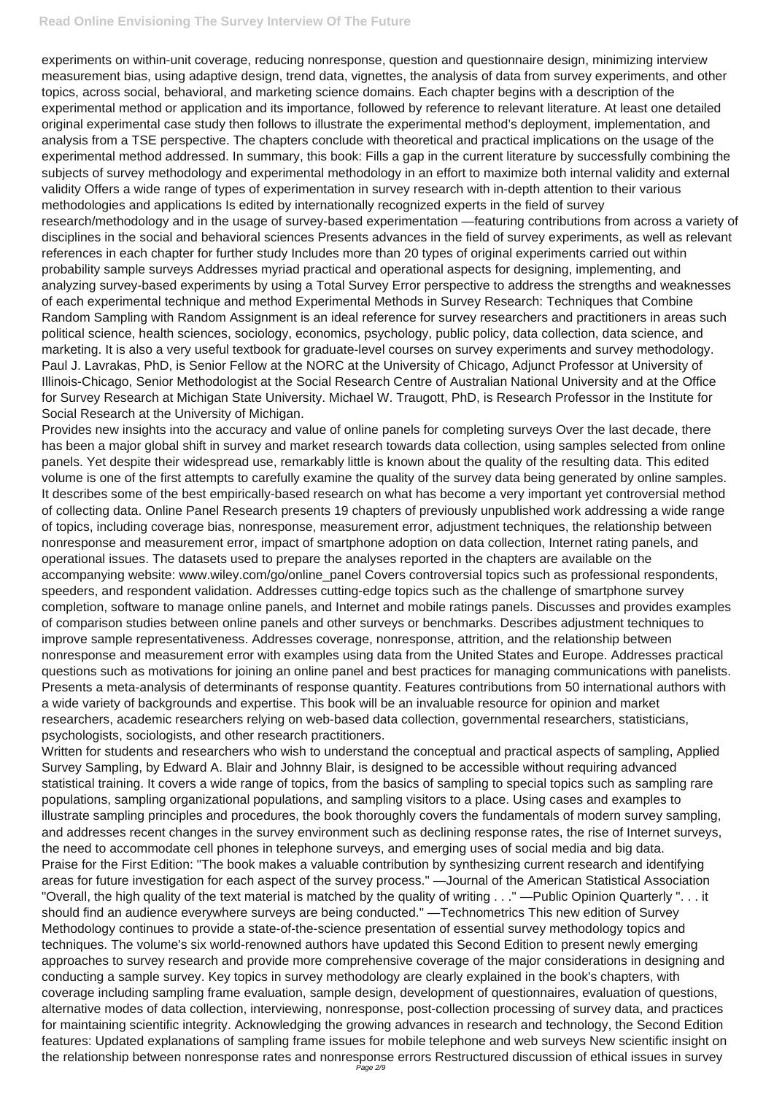## **Read Online Envisioning The Survey Interview Of The Future**

experiments on within-unit coverage, reducing nonresponse, question and questionnaire design, minimizing interview measurement bias, using adaptive design, trend data, vignettes, the analysis of data from survey experiments, and other topics, across social, behavioral, and marketing science domains. Each chapter begins with a description of the experimental method or application and its importance, followed by reference to relevant literature. At least one detailed original experimental case study then follows to illustrate the experimental method's deployment, implementation, and analysis from a TSE perspective. The chapters conclude with theoretical and practical implications on the usage of the experimental method addressed. In summary, this book: Fills a gap in the current literature by successfully combining the subjects of survey methodology and experimental methodology in an effort to maximize both internal validity and external validity Offers a wide range of types of experimentation in survey research with in-depth attention to their various methodologies and applications Is edited by internationally recognized experts in the field of survey research/methodology and in the usage of survey-based experimentation —featuring contributions from across a variety of disciplines in the social and behavioral sciences Presents advances in the field of survey experiments, as well as relevant references in each chapter for further study Includes more than 20 types of original experiments carried out within probability sample surveys Addresses myriad practical and operational aspects for designing, implementing, and analyzing survey-based experiments by using a Total Survey Error perspective to address the strengths and weaknesses of each experimental technique and method Experimental Methods in Survey Research: Techniques that Combine Random Sampling with Random Assignment is an ideal reference for survey researchers and practitioners in areas such political science, health sciences, sociology, economics, psychology, public policy, data collection, data science, and marketing. It is also a very useful textbook for graduate-level courses on survey experiments and survey methodology. Paul J. Lavrakas, PhD, is Senior Fellow at the NORC at the University of Chicago, Adjunct Professor at University of Illinois-Chicago, Senior Methodologist at the Social Research Centre of Australian National University and at the Office for Survey Research at Michigan State University. Michael W. Traugott, PhD, is Research Professor in the Institute for Social Research at the University of Michigan.

Provides new insights into the accuracy and value of online panels for completing surveys Over the last decade, there has been a major global shift in survey and market research towards data collection, using samples selected from online panels. Yet despite their widespread use, remarkably little is known about the quality of the resulting data. This edited volume is one of the first attempts to carefully examine the quality of the survey data being generated by online samples. It describes some of the best empirically-based research on what has become a very important yet controversial method of collecting data. Online Panel Research presents 19 chapters of previously unpublished work addressing a wide range of topics, including coverage bias, nonresponse, measurement error, adjustment techniques, the relationship between nonresponse and measurement error, impact of smartphone adoption on data collection, Internet rating panels, and operational issues. The datasets used to prepare the analyses reported in the chapters are available on the accompanying website: www.wiley.com/go/online\_panel Covers controversial topics such as professional respondents, speeders, and respondent validation. Addresses cutting-edge topics such as the challenge of smartphone survey completion, software to manage online panels, and Internet and mobile ratings panels. Discusses and provides examples of comparison studies between online panels and other surveys or benchmarks. Describes adjustment techniques to improve sample representativeness. Addresses coverage, nonresponse, attrition, and the relationship between nonresponse and measurement error with examples using data from the United States and Europe. Addresses practical questions such as motivations for joining an online panel and best practices for managing communications with panelists. Presents a meta-analysis of determinants of response quantity. Features contributions from 50 international authors with a wide variety of backgrounds and expertise. This book will be an invaluable resource for opinion and market researchers, academic researchers relying on web-based data collection, governmental researchers, statisticians, psychologists, sociologists, and other research practitioners.

Written for students and researchers who wish to understand the conceptual and practical aspects of sampling, Applied Survey Sampling, by Edward A. Blair and Johnny Blair, is designed to be accessible without requiring advanced statistical training. It covers a wide range of topics, from the basics of sampling to special topics such as sampling rare populations, sampling organizational populations, and sampling visitors to a place. Using cases and examples to illustrate sampling principles and procedures, the book thoroughly covers the fundamentals of modern survey sampling,

and addresses recent changes in the survey environment such as declining response rates, the rise of Internet surveys, the need to accommodate cell phones in telephone surveys, and emerging uses of social media and big data. Praise for the First Edition: "The book makes a valuable contribution by synthesizing current research and identifying areas for future investigation for each aspect of the survey process." —Journal of the American Statistical Association "Overall, the high quality of the text material is matched by the quality of writing . . ." —Public Opinion Quarterly ". . . it should find an audience everywhere surveys are being conducted." —Technometrics This new edition of Survey Methodology continues to provide a state-of-the-science presentation of essential survey methodology topics and techniques. The volume's six world-renowned authors have updated this Second Edition to present newly emerging approaches to survey research and provide more comprehensive coverage of the major considerations in designing and conducting a sample survey. Key topics in survey methodology are clearly explained in the book's chapters, with coverage including sampling frame evaluation, sample design, development of questionnaires, evaluation of questions, alternative modes of data collection, interviewing, nonresponse, post-collection processing of survey data, and practices for maintaining scientific integrity. Acknowledging the growing advances in research and technology, the Second Edition features: Updated explanations of sampling frame issues for mobile telephone and web surveys New scientific insight on the relationship between nonresponse rates and nonresponse errors Restructured discussion of ethical issues in survey Page 2/9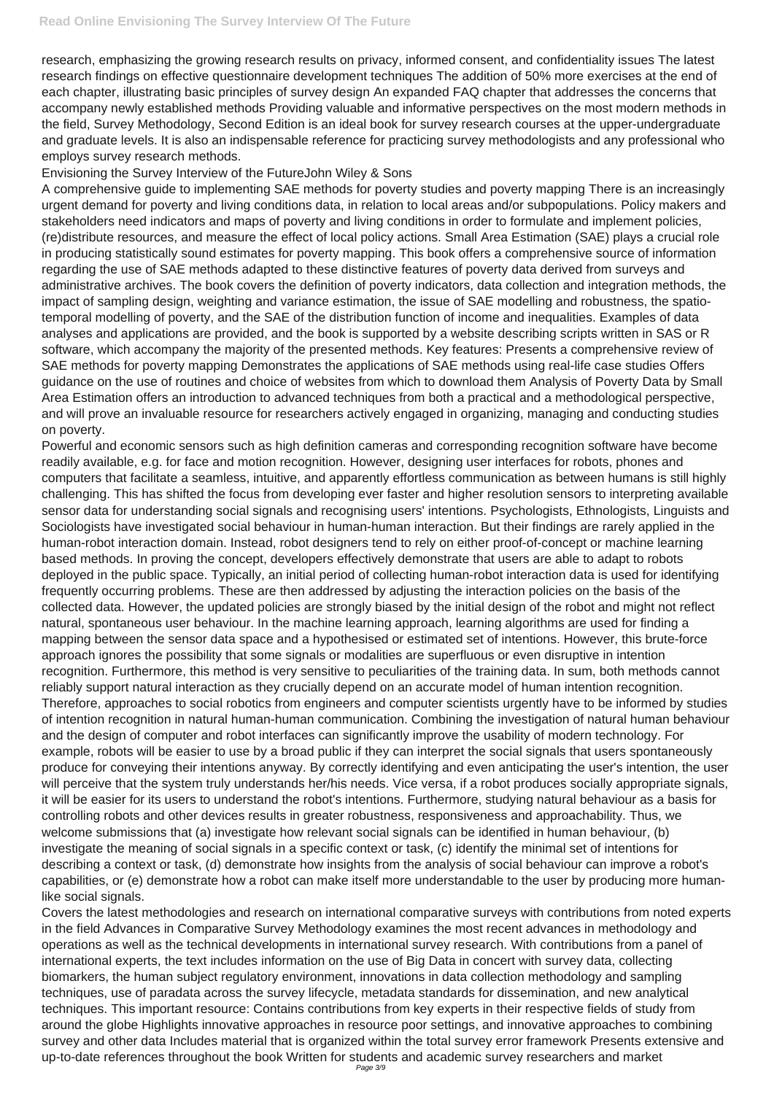research, emphasizing the growing research results on privacy, informed consent, and confidentiality issues The latest research findings on effective questionnaire development techniques The addition of 50% more exercises at the end of each chapter, illustrating basic principles of survey design An expanded FAQ chapter that addresses the concerns that accompany newly established methods Providing valuable and informative perspectives on the most modern methods in the field, Survey Methodology, Second Edition is an ideal book for survey research courses at the upper-undergraduate and graduate levels. It is also an indispensable reference for practicing survey methodologists and any professional who employs survey research methods.

Envisioning the Survey Interview of the FutureJohn Wiley & Sons

A comprehensive guide to implementing SAE methods for poverty studies and poverty mapping There is an increasingly urgent demand for poverty and living conditions data, in relation to local areas and/or subpopulations. Policy makers and stakeholders need indicators and maps of poverty and living conditions in order to formulate and implement policies, (re)distribute resources, and measure the effect of local policy actions. Small Area Estimation (SAE) plays a crucial role in producing statistically sound estimates for poverty mapping. This book offers a comprehensive source of information regarding the use of SAE methods adapted to these distinctive features of poverty data derived from surveys and administrative archives. The book covers the definition of poverty indicators, data collection and integration methods, the impact of sampling design, weighting and variance estimation, the issue of SAE modelling and robustness, the spatiotemporal modelling of poverty, and the SAE of the distribution function of income and inequalities. Examples of data analyses and applications are provided, and the book is supported by a website describing scripts written in SAS or R software, which accompany the majority of the presented methods. Key features: Presents a comprehensive review of SAE methods for poverty mapping Demonstrates the applications of SAE methods using real-life case studies Offers guidance on the use of routines and choice of websites from which to download them Analysis of Poverty Data by Small Area Estimation offers an introduction to advanced techniques from both a practical and a methodological perspective, and will prove an invaluable resource for researchers actively engaged in organizing, managing and conducting studies on poverty.

Powerful and economic sensors such as high definition cameras and corresponding recognition software have become readily available, e.g. for face and motion recognition. However, designing user interfaces for robots, phones and computers that facilitate a seamless, intuitive, and apparently effortless communication as between humans is still highly challenging. This has shifted the focus from developing ever faster and higher resolution sensors to interpreting available sensor data for understanding social signals and recognising users' intentions. Psychologists, Ethnologists, Linguists and Sociologists have investigated social behaviour in human-human interaction. But their findings are rarely applied in the human-robot interaction domain. Instead, robot designers tend to rely on either proof-of-concept or machine learning based methods. In proving the concept, developers effectively demonstrate that users are able to adapt to robots deployed in the public space. Typically, an initial period of collecting human-robot interaction data is used for identifying frequently occurring problems. These are then addressed by adjusting the interaction policies on the basis of the collected data. However, the updated policies are strongly biased by the initial design of the robot and might not reflect natural, spontaneous user behaviour. In the machine learning approach, learning algorithms are used for finding a mapping between the sensor data space and a hypothesised or estimated set of intentions. However, this brute-force approach ignores the possibility that some signals or modalities are superfluous or even disruptive in intention recognition. Furthermore, this method is very sensitive to peculiarities of the training data. In sum, both methods cannot reliably support natural interaction as they crucially depend on an accurate model of human intention recognition. Therefore, approaches to social robotics from engineers and computer scientists urgently have to be informed by studies of intention recognition in natural human-human communication. Combining the investigation of natural human behaviour and the design of computer and robot interfaces can significantly improve the usability of modern technology. For example, robots will be easier to use by a broad public if they can interpret the social signals that users spontaneously produce for conveying their intentions anyway. By correctly identifying and even anticipating the user's intention, the user will perceive that the system truly understands her/his needs. Vice versa, if a robot produces socially appropriate signals, it will be easier for its users to understand the robot's intentions. Furthermore, studying natural behaviour as a basis for controlling robots and other devices results in greater robustness, responsiveness and approachability. Thus, we

welcome submissions that (a) investigate how relevant social signals can be identified in human behaviour, (b) investigate the meaning of social signals in a specific context or task, (c) identify the minimal set of intentions for describing a context or task, (d) demonstrate how insights from the analysis of social behaviour can improve a robot's capabilities, or (e) demonstrate how a robot can make itself more understandable to the user by producing more humanlike social signals.

Covers the latest methodologies and research on international comparative surveys with contributions from noted experts in the field Advances in Comparative Survey Methodology examines the most recent advances in methodology and operations as well as the technical developments in international survey research. With contributions from a panel of international experts, the text includes information on the use of Big Data in concert with survey data, collecting biomarkers, the human subject regulatory environment, innovations in data collection methodology and sampling techniques, use of paradata across the survey lifecycle, metadata standards for dissemination, and new analytical techniques. This important resource: Contains contributions from key experts in their respective fields of study from around the globe Highlights innovative approaches in resource poor settings, and innovative approaches to combining survey and other data Includes material that is organized within the total survey error framework Presents extensive and up-to-date references throughout the book Written for students and academic survey researchers and market Page 3/9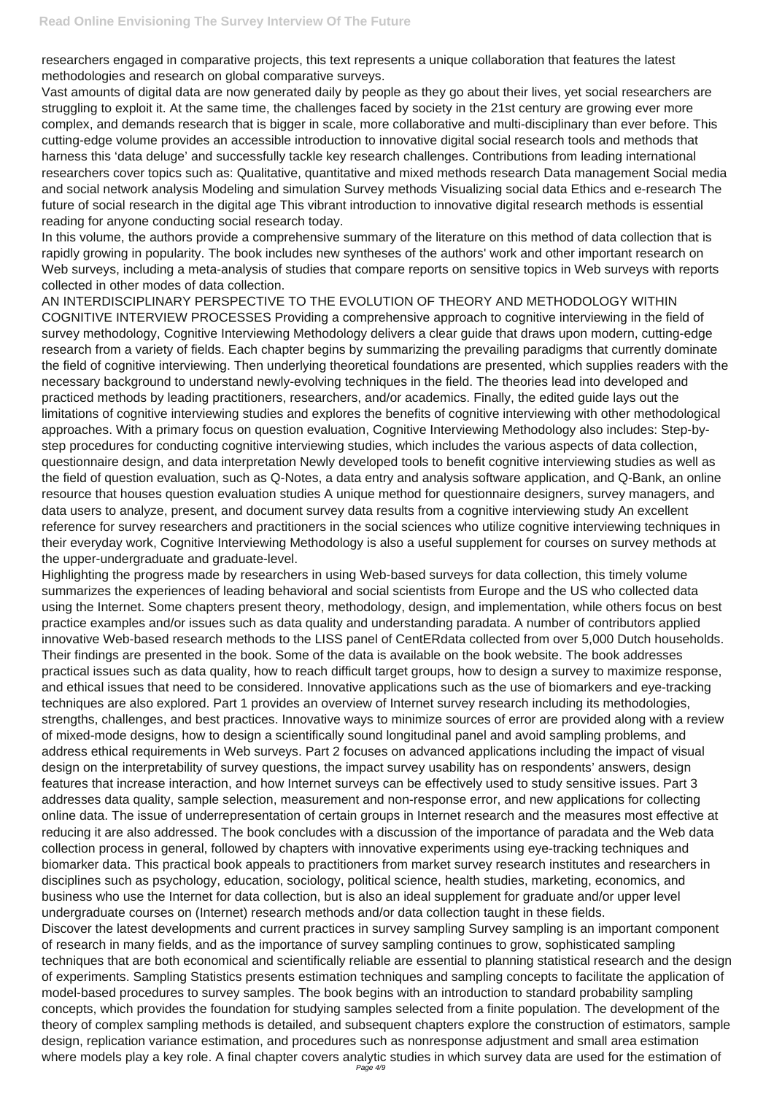researchers engaged in comparative projects, this text represents a unique collaboration that features the latest methodologies and research on global comparative surveys.

Vast amounts of digital data are now generated daily by people as they go about their lives, yet social researchers are struggling to exploit it. At the same time, the challenges faced by society in the 21st century are growing ever more complex, and demands research that is bigger in scale, more collaborative and multi-disciplinary than ever before. This cutting-edge volume provides an accessible introduction to innovative digital social research tools and methods that harness this 'data deluge' and successfully tackle key research challenges. Contributions from leading international researchers cover topics such as: Qualitative, quantitative and mixed methods research Data management Social media and social network analysis Modeling and simulation Survey methods Visualizing social data Ethics and e-research The future of social research in the digital age This vibrant introduction to innovative digital research methods is essential reading for anyone conducting social research today.

In this volume, the authors provide a comprehensive summary of the literature on this method of data collection that is rapidly growing in popularity. The book includes new syntheses of the authors' work and other important research on Web surveys, including a meta-analysis of studies that compare reports on sensitive topics in Web surveys with reports collected in other modes of data collection.

AN INTERDISCIPLINARY PERSPECTIVE TO THE EVOLUTION OF THEORY AND METHODOLOGY WITHIN COGNITIVE INTERVIEW PROCESSES Providing a comprehensive approach to cognitive interviewing in the field of survey methodology, Cognitive Interviewing Methodology delivers a clear guide that draws upon modern, cutting-edge research from a variety of fields. Each chapter begins by summarizing the prevailing paradigms that currently dominate the field of cognitive interviewing. Then underlying theoretical foundations are presented, which supplies readers with the necessary background to understand newly-evolving techniques in the field. The theories lead into developed and practiced methods by leading practitioners, researchers, and/or academics. Finally, the edited guide lays out the limitations of cognitive interviewing studies and explores the benefits of cognitive interviewing with other methodological approaches. With a primary focus on question evaluation, Cognitive Interviewing Methodology also includes: Step-bystep procedures for conducting cognitive interviewing studies, which includes the various aspects of data collection, questionnaire design, and data interpretation Newly developed tools to benefit cognitive interviewing studies as well as the field of question evaluation, such as Q-Notes, a data entry and analysis software application, and Q-Bank, an online resource that houses question evaluation studies A unique method for questionnaire designers, survey managers, and data users to analyze, present, and document survey data results from a cognitive interviewing study An excellent reference for survey researchers and practitioners in the social sciences who utilize cognitive interviewing techniques in their everyday work, Cognitive Interviewing Methodology is also a useful supplement for courses on survey methods at the upper-undergraduate and graduate-level.

Highlighting the progress made by researchers in using Web-based surveys for data collection, this timely volume summarizes the experiences of leading behavioral and social scientists from Europe and the US who collected data using the Internet. Some chapters present theory, methodology, design, and implementation, while others focus on best practice examples and/or issues such as data quality and understanding paradata. A number of contributors applied innovative Web-based research methods to the LISS panel of CentERdata collected from over 5,000 Dutch households. Their findings are presented in the book. Some of the data is available on the book website. The book addresses practical issues such as data quality, how to reach difficult target groups, how to design a survey to maximize response, and ethical issues that need to be considered. Innovative applications such as the use of biomarkers and eye-tracking techniques are also explored. Part 1 provides an overview of Internet survey research including its methodologies, strengths, challenges, and best practices. Innovative ways to minimize sources of error are provided along with a review of mixed-mode designs, how to design a scientifically sound longitudinal panel and avoid sampling problems, and address ethical requirements in Web surveys. Part 2 focuses on advanced applications including the impact of visual design on the interpretability of survey questions, the impact survey usability has on respondents' answers, design features that increase interaction, and how Internet surveys can be effectively used to study sensitive issues. Part 3 addresses data quality, sample selection, measurement and non-response error, and new applications for collecting online data. The issue of underrepresentation of certain groups in Internet research and the measures most effective at reducing it are also addressed. The book concludes with a discussion of the importance of paradata and the Web data collection process in general, followed by chapters with innovative experiments using eye-tracking techniques and biomarker data. This practical book appeals to practitioners from market survey research institutes and researchers in disciplines such as psychology, education, sociology, political science, health studies, marketing, economics, and business who use the Internet for data collection, but is also an ideal supplement for graduate and/or upper level undergraduate courses on (Internet) research methods and/or data collection taught in these fields. Discover the latest developments and current practices in survey sampling Survey sampling is an important component of research in many fields, and as the importance of survey sampling continues to grow, sophisticated sampling techniques that are both economical and scientifically reliable are essential to planning statistical research and the design of experiments. Sampling Statistics presents estimation techniques and sampling concepts to facilitate the application of model-based procedures to survey samples. The book begins with an introduction to standard probability sampling concepts, which provides the foundation for studying samples selected from a finite population. The development of the theory of complex sampling methods is detailed, and subsequent chapters explore the construction of estimators, sample design, replication variance estimation, and procedures such as nonresponse adjustment and small area estimation where models play a key role. A final chapter covers analytic studies in which survey data are used for the estimation of Page 4/9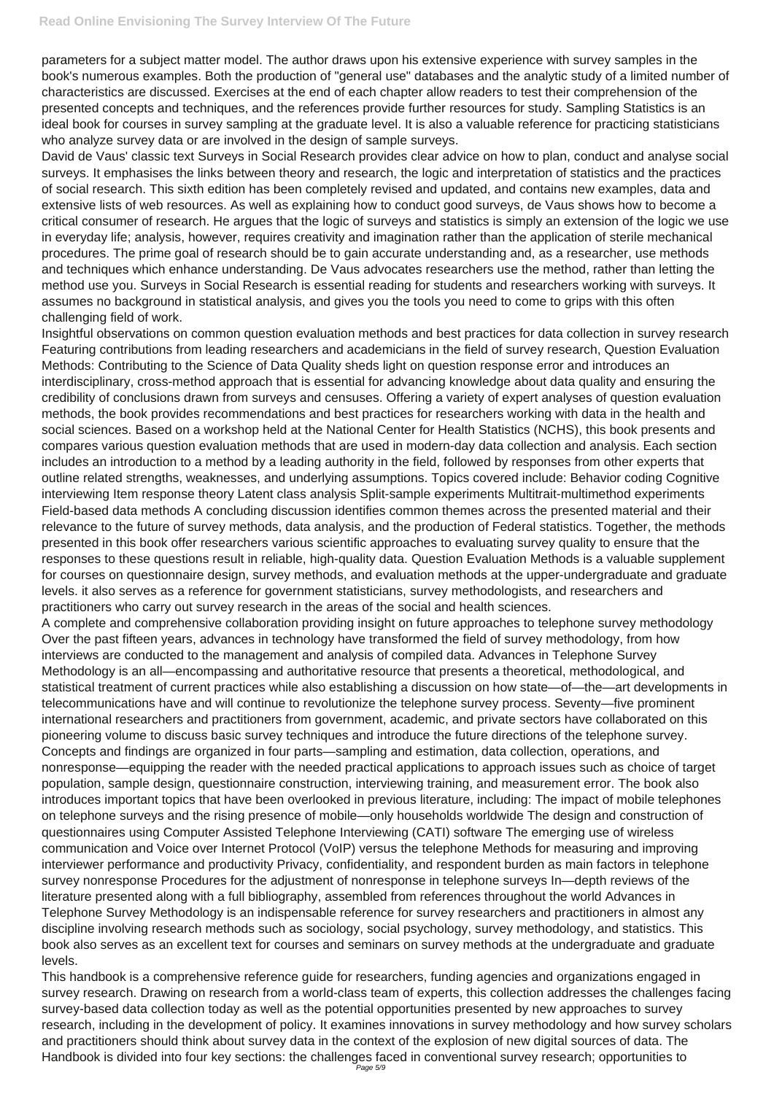parameters for a subject matter model. The author draws upon his extensive experience with survey samples in the book's numerous examples. Both the production of "general use" databases and the analytic study of a limited number of characteristics are discussed. Exercises at the end of each chapter allow readers to test their comprehension of the presented concepts and techniques, and the references provide further resources for study. Sampling Statistics is an ideal book for courses in survey sampling at the graduate level. It is also a valuable reference for practicing statisticians who analyze survey data or are involved in the design of sample surveys.

David de Vaus' classic text Surveys in Social Research provides clear advice on how to plan, conduct and analyse social surveys. It emphasises the links between theory and research, the logic and interpretation of statistics and the practices of social research. This sixth edition has been completely revised and updated, and contains new examples, data and extensive lists of web resources. As well as explaining how to conduct good surveys, de Vaus shows how to become a critical consumer of research. He argues that the logic of surveys and statistics is simply an extension of the logic we use in everyday life; analysis, however, requires creativity and imagination rather than the application of sterile mechanical procedures. The prime goal of research should be to gain accurate understanding and, as a researcher, use methods and techniques which enhance understanding. De Vaus advocates researchers use the method, rather than letting the method use you. Surveys in Social Research is essential reading for students and researchers working with surveys. It assumes no background in statistical analysis, and gives you the tools you need to come to grips with this often challenging field of work.

Insightful observations on common question evaluation methods and best practices for data collection in survey research Featuring contributions from leading researchers and academicians in the field of survey research, Question Evaluation Methods: Contributing to the Science of Data Quality sheds light on question response error and introduces an interdisciplinary, cross-method approach that is essential for advancing knowledge about data quality and ensuring the credibility of conclusions drawn from surveys and censuses. Offering a variety of expert analyses of question evaluation methods, the book provides recommendations and best practices for researchers working with data in the health and social sciences. Based on a workshop held at the National Center for Health Statistics (NCHS), this book presents and compares various question evaluation methods that are used in modern-day data collection and analysis. Each section includes an introduction to a method by a leading authority in the field, followed by responses from other experts that outline related strengths, weaknesses, and underlying assumptions. Topics covered include: Behavior coding Cognitive interviewing Item response theory Latent class analysis Split-sample experiments Multitrait-multimethod experiments Field-based data methods A concluding discussion identifies common themes across the presented material and their relevance to the future of survey methods, data analysis, and the production of Federal statistics. Together, the methods presented in this book offer researchers various scientific approaches to evaluating survey quality to ensure that the responses to these questions result in reliable, high-quality data. Question Evaluation Methods is a valuable supplement for courses on questionnaire design, survey methods, and evaluation methods at the upper-undergraduate and graduate levels. it also serves as a reference for government statisticians, survey methodologists, and researchers and practitioners who carry out survey research in the areas of the social and health sciences.

A complete and comprehensive collaboration providing insight on future approaches to telephone survey methodology Over the past fifteen years, advances in technology have transformed the field of survey methodology, from how interviews are conducted to the management and analysis of compiled data. Advances in Telephone Survey Methodology is an all—encompassing and authoritative resource that presents a theoretical, methodological, and statistical treatment of current practices while also establishing a discussion on how state—of—the—art developments in telecommunications have and will continue to revolutionize the telephone survey process. Seventy—five prominent international researchers and practitioners from government, academic, and private sectors have collaborated on this pioneering volume to discuss basic survey techniques and introduce the future directions of the telephone survey. Concepts and findings are organized in four parts—sampling and estimation, data collection, operations, and nonresponse—equipping the reader with the needed practical applications to approach issues such as choice of target population, sample design, questionnaire construction, interviewing training, and measurement error. The book also introduces important topics that have been overlooked in previous literature, including: The impact of mobile telephones on telephone surveys and the rising presence of mobile—only households worldwide The design and construction of questionnaires using Computer Assisted Telephone Interviewing (CATI) software The emerging use of wireless communication and Voice over Internet Protocol (VoIP) versus the telephone Methods for measuring and improving interviewer performance and productivity Privacy, confidentiality, and respondent burden as main factors in telephone survey nonresponse Procedures for the adjustment of nonresponse in telephone surveys In—depth reviews of the literature presented along with a full bibliography, assembled from references throughout the world Advances in Telephone Survey Methodology is an indispensable reference for survey researchers and practitioners in almost any discipline involving research methods such as sociology, social psychology, survey methodology, and statistics. This book also serves as an excellent text for courses and seminars on survey methods at the undergraduate and graduate levels. This handbook is a comprehensive reference guide for researchers, funding agencies and organizations engaged in survey research. Drawing on research from a world-class team of experts, this collection addresses the challenges facing survey-based data collection today as well as the potential opportunities presented by new approaches to survey research, including in the development of policy. It examines innovations in survey methodology and how survey scholars and practitioners should think about survey data in the context of the explosion of new digital sources of data. The Handbook is divided into four key sections: the challenges faced in conventional survey research; opportunities to Page 5/9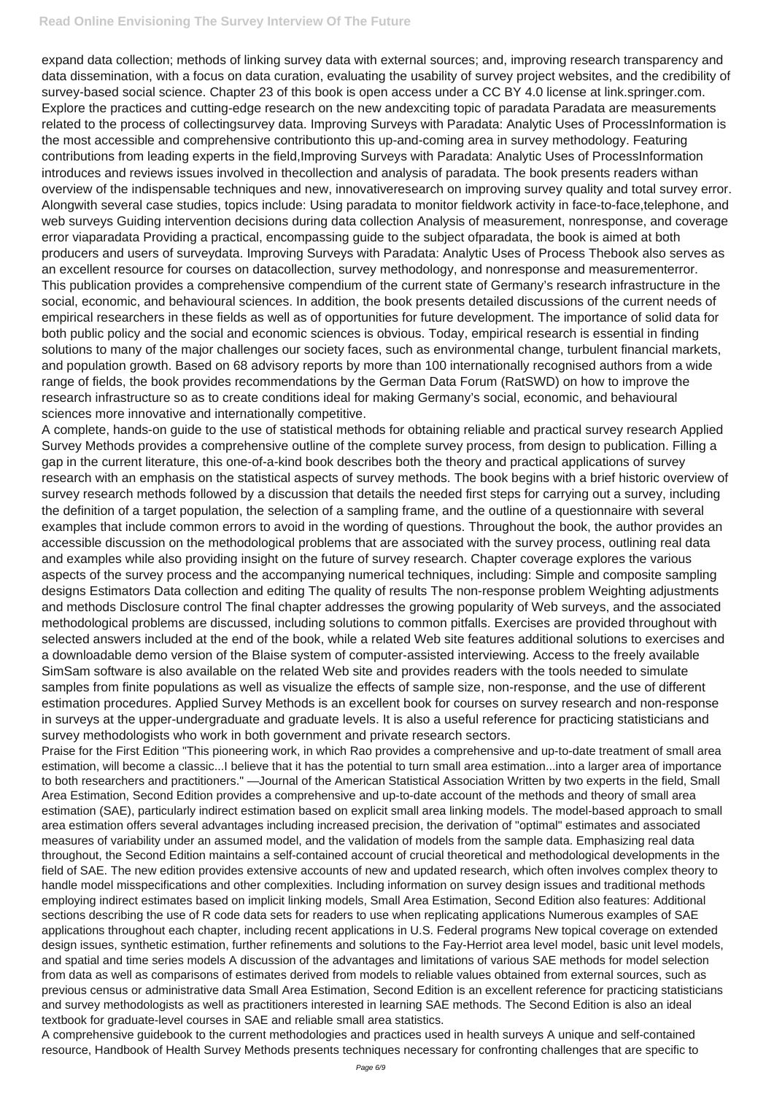## **Read Online Envisioning The Survey Interview Of The Future**

expand data collection; methods of linking survey data with external sources; and, improving research transparency and data dissemination, with a focus on data curation, evaluating the usability of survey project websites, and the credibility of survey-based social science. Chapter 23 of this book is open access under a CC BY 4.0 license at link.springer.com. Explore the practices and cutting-edge research on the new andexciting topic of paradata Paradata are measurements related to the process of collectingsurvey data. Improving Surveys with Paradata: Analytic Uses of ProcessInformation is the most accessible and comprehensive contributionto this up-and-coming area in survey methodology. Featuring contributions from leading experts in the field,Improving Surveys with Paradata: Analytic Uses of ProcessInformation introduces and reviews issues involved in thecollection and analysis of paradata. The book presents readers withan overview of the indispensable techniques and new, innovativeresearch on improving survey quality and total survey error. Alongwith several case studies, topics include: Using paradata to monitor fieldwork activity in face-to-face,telephone, and web surveys Guiding intervention decisions during data collection Analysis of measurement, nonresponse, and coverage error viaparadata Providing a practical, encompassing guide to the subject ofparadata, the book is aimed at both producers and users of surveydata. Improving Surveys with Paradata: Analytic Uses of Process Thebook also serves as an excellent resource for courses on datacollection, survey methodology, and nonresponse and measurementerror. This publication provides a comprehensive compendium of the current state of Germany's research infrastructure in the social, economic, and behavioural sciences. In addition, the book presents detailed discussions of the current needs of empirical researchers in these fields as well as of opportunities for future development. The importance of solid data for both public policy and the social and economic sciences is obvious. Today, empirical research is essential in finding solutions to many of the major challenges our society faces, such as environmental change, turbulent financial markets, and population growth. Based on 68 advisory reports by more than 100 internationally recognised authors from a wide range of fields, the book provides recommendations by the German Data Forum (RatSWD) on how to improve the research infrastructure so as to create conditions ideal for making Germany's social, economic, and behavioural sciences more innovative and internationally competitive.

A complete, hands-on guide to the use of statistical methods for obtaining reliable and practical survey research Applied Survey Methods provides a comprehensive outline of the complete survey process, from design to publication. Filling a gap in the current literature, this one-of-a-kind book describes both the theory and practical applications of survey research with an emphasis on the statistical aspects of survey methods. The book begins with a brief historic overview of survey research methods followed by a discussion that details the needed first steps for carrying out a survey, including the definition of a target population, the selection of a sampling frame, and the outline of a questionnaire with several examples that include common errors to avoid in the wording of questions. Throughout the book, the author provides an accessible discussion on the methodological problems that are associated with the survey process, outlining real data and examples while also providing insight on the future of survey research. Chapter coverage explores the various aspects of the survey process and the accompanying numerical techniques, including: Simple and composite sampling designs Estimators Data collection and editing The quality of results The non-response problem Weighting adjustments and methods Disclosure control The final chapter addresses the growing popularity of Web surveys, and the associated methodological problems are discussed, including solutions to common pitfalls. Exercises are provided throughout with selected answers included at the end of the book, while a related Web site features additional solutions to exercises and a downloadable demo version of the Blaise system of computer-assisted interviewing. Access to the freely available SimSam software is also available on the related Web site and provides readers with the tools needed to simulate samples from finite populations as well as visualize the effects of sample size, non-response, and the use of different estimation procedures. Applied Survey Methods is an excellent book for courses on survey research and non-response in surveys at the upper-undergraduate and graduate levels. It is also a useful reference for practicing statisticians and survey methodologists who work in both government and private research sectors.

Praise for the First Edition "This pioneering work, in which Rao provides a comprehensive and up-to-date treatment of small area estimation, will become a classic...I believe that it has the potential to turn small area estimation...into a larger area of importance to both researchers and practitioners." —Journal of the American Statistical Association Written by two experts in the field, Small Area Estimation, Second Edition provides a comprehensive and up-to-date account of the methods and theory of small area estimation (SAE), particularly indirect estimation based on explicit small area linking models. The model-based approach to small area estimation offers several advantages including increased precision, the derivation of "optimal" estimates and associated measures of variability under an assumed model, and the validation of models from the sample data. Emphasizing real data throughout, the Second Edition maintains a self-contained account of crucial theoretical and methodological developments in the field of SAE. The new edition provides extensive accounts of new and updated research, which often involves complex theory to handle model misspecifications and other complexities. Including information on survey design issues and traditional methods employing indirect estimates based on implicit linking models, Small Area Estimation, Second Edition also features: Additional sections describing the use of R code data sets for readers to use when replicating applications Numerous examples of SAE applications throughout each chapter, including recent applications in U.S. Federal programs New topical coverage on extended design issues, synthetic estimation, further refinements and solutions to the Fay-Herriot area level model, basic unit level models, and spatial and time series models A discussion of the advantages and limitations of various SAE methods for model selection from data as well as comparisons of estimates derived from models to reliable values obtained from external sources, such as previous census or administrative data Small Area Estimation, Second Edition is an excellent reference for practicing statisticians and survey methodologists as well as practitioners interested in learning SAE methods. The Second Edition is also an ideal textbook for graduate-level courses in SAE and reliable small area statistics. A comprehensive guidebook to the current methodologies and practices used in health surveys A unique and self-contained

resource, Handbook of Health Survey Methods presents techniques necessary for confronting challenges that are specific to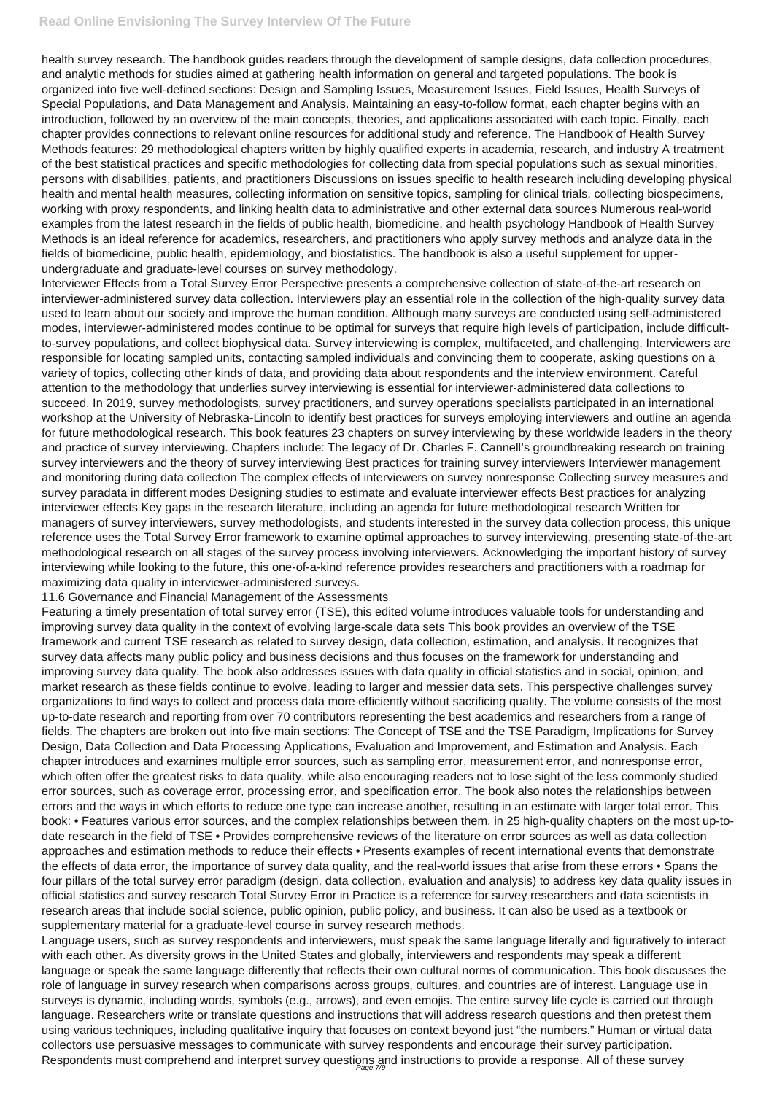health survey research. The handbook guides readers through the development of sample designs, data collection procedures, and analytic methods for studies aimed at gathering health information on general and targeted populations. The book is organized into five well-defined sections: Design and Sampling Issues, Measurement Issues, Field Issues, Health Surveys of Special Populations, and Data Management and Analysis. Maintaining an easy-to-follow format, each chapter begins with an introduction, followed by an overview of the main concepts, theories, and applications associated with each topic. Finally, each chapter provides connections to relevant online resources for additional study and reference. The Handbook of Health Survey Methods features: 29 methodological chapters written by highly qualified experts in academia, research, and industry A treatment of the best statistical practices and specific methodologies for collecting data from special populations such as sexual minorities, persons with disabilities, patients, and practitioners Discussions on issues specific to health research including developing physical health and mental health measures, collecting information on sensitive topics, sampling for clinical trials, collecting biospecimens, working with proxy respondents, and linking health data to administrative and other external data sources Numerous real-world examples from the latest research in the fields of public health, biomedicine, and health psychology Handbook of Health Survey Methods is an ideal reference for academics, researchers, and practitioners who apply survey methods and analyze data in the fields of biomedicine, public health, epidemiology, and biostatistics. The handbook is also a useful supplement for upperundergraduate and graduate-level courses on survey methodology.

Interviewer Effects from a Total Survey Error Perspective presents a comprehensive collection of state-of-the-art research on interviewer-administered survey data collection. Interviewers play an essential role in the collection of the high-quality survey data used to learn about our society and improve the human condition. Although many surveys are conducted using self-administered modes, interviewer-administered modes continue to be optimal for surveys that require high levels of participation, include difficultto-survey populations, and collect biophysical data. Survey interviewing is complex, multifaceted, and challenging. Interviewers are responsible for locating sampled units, contacting sampled individuals and convincing them to cooperate, asking questions on a variety of topics, collecting other kinds of data, and providing data about respondents and the interview environment. Careful attention to the methodology that underlies survey interviewing is essential for interviewer-administered data collections to succeed. In 2019, survey methodologists, survey practitioners, and survey operations specialists participated in an international workshop at the University of Nebraska-Lincoln to identify best practices for surveys employing interviewers and outline an agenda for future methodological research. This book features 23 chapters on survey interviewing by these worldwide leaders in the theory and practice of survey interviewing. Chapters include: The legacy of Dr. Charles F. Cannell's groundbreaking research on training survey interviewers and the theory of survey interviewing Best practices for training survey interviewers Interviewer management and monitoring during data collection The complex effects of interviewers on survey nonresponse Collecting survey measures and survey paradata in different modes Designing studies to estimate and evaluate interviewer effects Best practices for analyzing interviewer effects Key gaps in the research literature, including an agenda for future methodological research Written for managers of survey interviewers, survey methodologists, and students interested in the survey data collection process, this unique reference uses the Total Survey Error framework to examine optimal approaches to survey interviewing, presenting state-of-the-art methodological research on all stages of the survey process involving interviewers. Acknowledging the important history of survey interviewing while looking to the future, this one-of-a-kind reference provides researchers and practitioners with a roadmap for maximizing data quality in interviewer-administered surveys.

language. Researchers write or translate questions and instructions that will address research questions and then pretest them using various techniques, including qualitative inquiry that focuses on context beyond just "the numbers." Human or virtual data collectors use persuasive messages to communicate with survey respondents and encourage their survey participation. Respondents must comprehend and interpret survey questions and instructions to provide a response. All of these survey

#### 11.6 Governance and Financial Management of the Assessments

Featuring a timely presentation of total survey error (TSE), this edited volume introduces valuable tools for understanding and improving survey data quality in the context of evolving large-scale data sets This book provides an overview of the TSE framework and current TSE research as related to survey design, data collection, estimation, and analysis. It recognizes that survey data affects many public policy and business decisions and thus focuses on the framework for understanding and improving survey data quality. The book also addresses issues with data quality in official statistics and in social, opinion, and market research as these fields continue to evolve, leading to larger and messier data sets. This perspective challenges survey organizations to find ways to collect and process data more efficiently without sacrificing quality. The volume consists of the most up-to-date research and reporting from over 70 contributors representing the best academics and researchers from a range of fields. The chapters are broken out into five main sections: The Concept of TSE and the TSE Paradigm, Implications for Survey Design, Data Collection and Data Processing Applications, Evaluation and Improvement, and Estimation and Analysis. Each chapter introduces and examines multiple error sources, such as sampling error, measurement error, and nonresponse error, which often offer the greatest risks to data quality, while also encouraging readers not to lose sight of the less commonly studied error sources, such as coverage error, processing error, and specification error. The book also notes the relationships between errors and the ways in which efforts to reduce one type can increase another, resulting in an estimate with larger total error. This book: • Features various error sources, and the complex relationships between them, in 25 high-quality chapters on the most up-todate research in the field of TSE • Provides comprehensive reviews of the literature on error sources as well as data collection approaches and estimation methods to reduce their effects • Presents examples of recent international events that demonstrate the effects of data error, the importance of survey data quality, and the real-world issues that arise from these errors • Spans the four pillars of the total survey error paradigm (design, data collection, evaluation and analysis) to address key data quality issues in official statistics and survey research Total Survey Error in Practice is a reference for survey researchers and data scientists in research areas that include social science, public opinion, public policy, and business. It can also be used as a textbook or supplementary material for a graduate-level course in survey research methods. Language users, such as survey respondents and interviewers, must speak the same language literally and figuratively to interact with each other. As diversity grows in the United States and globally, interviewers and respondents may speak a different language or speak the same language differently that reflects their own cultural norms of communication. This book discusses the role of language in survey research when comparisons across groups, cultures, and countries are of interest. Language use in surveys is dynamic, including words, symbols (e.g., arrows), and even emojis. The entire survey life cycle is carried out through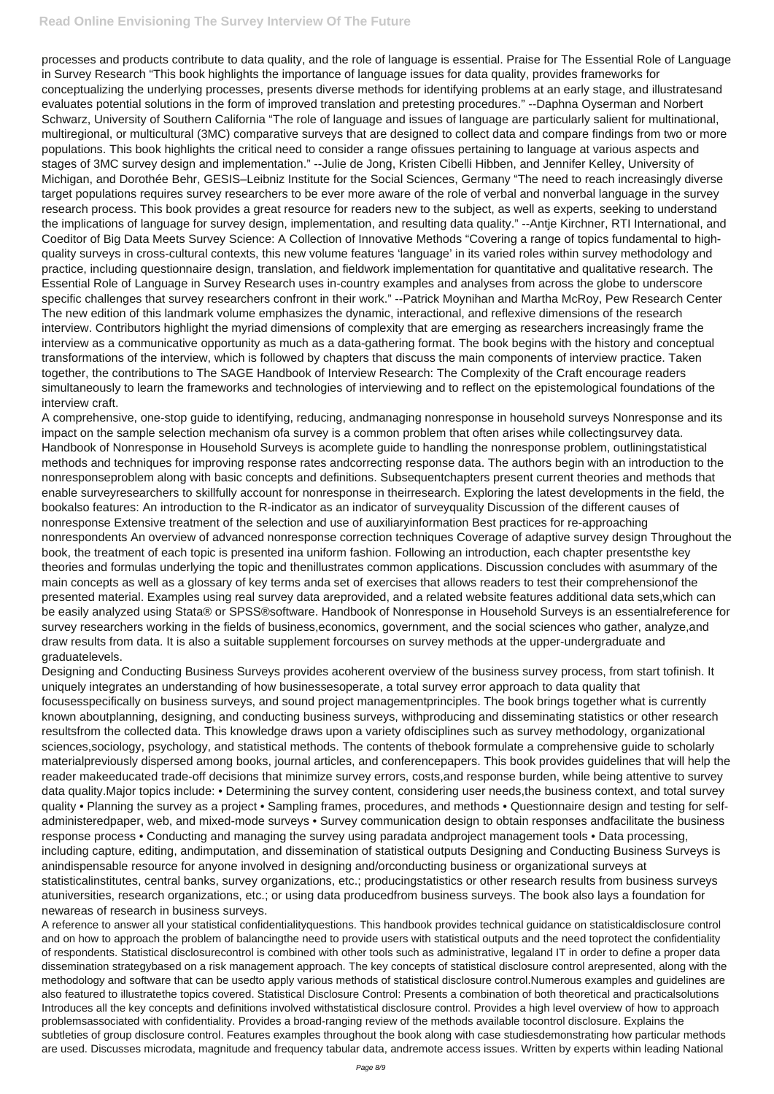### **Read Online Envisioning The Survey Interview Of The Future**

processes and products contribute to data quality, and the role of language is essential. Praise for The Essential Role of Language in Survey Research "This book highlights the importance of language issues for data quality, provides frameworks for conceptualizing the underlying processes, presents diverse methods for identifying problems at an early stage, and illustratesand evaluates potential solutions in the form of improved translation and pretesting procedures." --Daphna Oyserman and Norbert Schwarz, University of Southern California "The role of language and issues of language are particularly salient for multinational, multiregional, or multicultural (3MC) comparative surveys that are designed to collect data and compare findings from two or more populations. This book highlights the critical need to consider a range ofissues pertaining to language at various aspects and stages of 3MC survey design and implementation." --Julie de Jong, Kristen Cibelli Hibben, and Jennifer Kelley, University of Michigan, and Dorothée Behr, GESIS–Leibniz Institute for the Social Sciences, Germany "The need to reach increasingly diverse target populations requires survey researchers to be ever more aware of the role of verbal and nonverbal language in the survey research process. This book provides a great resource for readers new to the subject, as well as experts, seeking to understand the implications of language for survey design, implementation, and resulting data quality." --Antje Kirchner, RTI International, and Coeditor of Big Data Meets Survey Science: A Collection of Innovative Methods "Covering a range of topics fundamental to highquality surveys in cross-cultural contexts, this new volume features 'language' in its varied roles within survey methodology and practice, including questionnaire design, translation, and fieldwork implementation for quantitative and qualitative research. The Essential Role of Language in Survey Research uses in-country examples and analyses from across the globe to underscore specific challenges that survey researchers confront in their work." --Patrick Moynihan and Martha McRoy, Pew Research Center The new edition of this landmark volume emphasizes the dynamic, interactional, and reflexive dimensions of the research interview. Contributors highlight the myriad dimensions of complexity that are emerging as researchers increasingly frame the interview as a communicative opportunity as much as a data-gathering format. The book begins with the history and conceptual transformations of the interview, which is followed by chapters that discuss the main components of interview practice. Taken together, the contributions to The SAGE Handbook of Interview Research: The Complexity of the Craft encourage readers simultaneously to learn the frameworks and technologies of interviewing and to reflect on the epistemological foundations of the interview craft.

A comprehensive, one-stop guide to identifying, reducing, andmanaging nonresponse in household surveys Nonresponse and its impact on the sample selection mechanism ofa survey is a common problem that often arises while collectingsurvey data. Handbook of Nonresponse in Household Surveys is acomplete guide to handling the nonresponse problem, outliningstatistical methods and techniques for improving response rates andcorrecting response data. The authors begin with an introduction to the nonresponseproblem along with basic concepts and definitions. Subsequentchapters present current theories and methods that enable surveyresearchers to skillfully account for nonresponse in theirresearch. Exploring the latest developments in the field, the bookalso features: An introduction to the R-indicator as an indicator of surveyquality Discussion of the different causes of nonresponse Extensive treatment of the selection and use of auxiliaryinformation Best practices for re-approaching nonrespondents An overview of advanced nonresponse correction techniques Coverage of adaptive survey design Throughout the book, the treatment of each topic is presented ina uniform fashion. Following an introduction, each chapter presentsthe key theories and formulas underlying the topic and thenillustrates common applications. Discussion concludes with asummary of the main concepts as well as a glossary of key terms anda set of exercises that allows readers to test their comprehensionof the presented material. Examples using real survey data areprovided, and a related website features additional data sets,which can be easily analyzed using Stata® or SPSS®software. Handbook of Nonresponse in Household Surveys is an essentialreference for survey researchers working in the fields of business,economics, government, and the social sciences who gather, analyze,and draw results from data. It is also a suitable supplement forcourses on survey methods at the upper-undergraduate and graduatelevels.

Designing and Conducting Business Surveys provides acoherent overview of the business survey process, from start tofinish. It uniquely integrates an understanding of how businessesoperate, a total survey error approach to data quality that focusesspecifically on business surveys, and sound project managementprinciples. The book brings together what is currently known aboutplanning, designing, and conducting business surveys, withproducing and disseminating statistics or other research resultsfrom the collected data. This knowledge draws upon a variety ofdisciplines such as survey methodology, organizational sciences,sociology, psychology, and statistical methods. The contents of thebook formulate a comprehensive guide to scholarly materialpreviously dispersed among books, journal articles, and conferencepapers. This book provides guidelines that will help the reader makeeducated trade-off decisions that minimize survey errors, costs,and response burden, while being attentive to survey data quality.Major topics include: • Determining the survey content, considering user needs,the business context, and total survey quality • Planning the survey as a project • Sampling frames, procedures, and methods • Questionnaire design and testing for selfadministeredpaper, web, and mixed-mode surveys • Survey communication design to obtain responses andfacilitate the business response process • Conducting and managing the survey using paradata andproject management tools • Data processing, including capture, editing, andimputation, and dissemination of statistical outputs Designing and Conducting Business Surveys is anindispensable resource for anyone involved in designing and/orconducting business or organizational surveys at statisticalinstitutes, central banks, survey organizations, etc.; producingstatistics or other research results from business surveys atuniversities, research organizations, etc.; or using data producedfrom business surveys. The book also lays a foundation for newareas of research in business surveys. A reference to answer all your statistical confidentialityquestions. This handbook provides technical guidance on statisticaldisclosure control and on how to approach the problem of balancingthe need to provide users with statistical outputs and the need toprotect the confidentiality of respondents. Statistical disclosurecontrol is combined with other tools such as administrative, legaland IT in order to define a proper data dissemination strategybased on a risk management approach. The key concepts of statistical disclosure control arepresented, along with the methodology and software that can be usedto apply various methods of statistical disclosure control.Numerous examples and guidelines are also featured to illustratethe topics covered. Statistical Disclosure Control: Presents a combination of both theoretical and practicalsolutions Introduces all the key concepts and definitions involved withstatistical disclosure control. Provides a high level overview of how to approach problemsassociated with confidentiality. Provides a broad-ranging review of the methods available tocontrol disclosure. Explains the subtleties of group disclosure control. Features examples throughout the book along with case studiesdemonstrating how particular methods are used. Discusses microdata, magnitude and frequency tabular data, andremote access issues. Written by experts within leading National